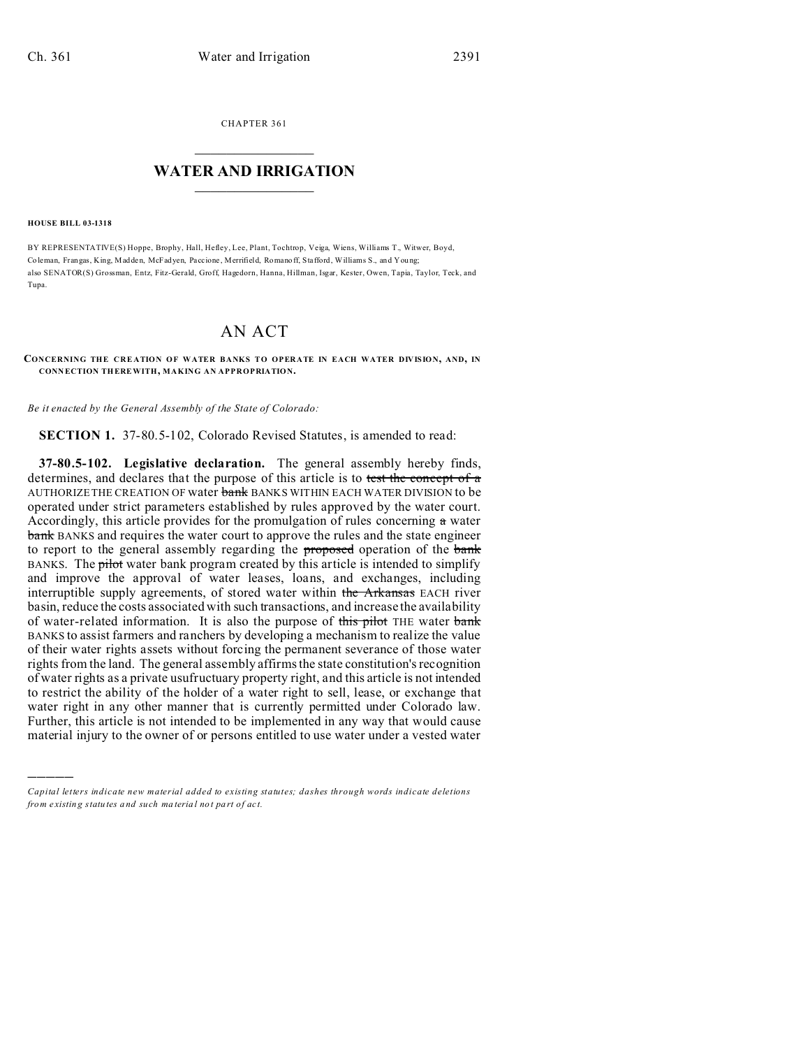CHAPTER 361  $\overline{\phantom{a}}$  , where  $\overline{\phantom{a}}$ 

## **WATER AND IRRIGATION**  $\_$   $\_$   $\_$   $\_$   $\_$   $\_$   $\_$   $\_$   $\_$

**HOUSE BILL 03-1318**

)))))

BY REPRESENTATIVE(S) Hoppe, Brophy, Hall, Hefley, Lee, Plant, Tochtrop, Veiga, Wiens, Williams T., Witwer, Boyd, Co leman, Frangas, King, Madden, McFadyen, Paccione , Merrifield, Romano ff, Stafford, Williams S., and You ng; also SENATOR(S) Grossman, Entz, Fitz-Gerald, Groff, Hagedorn, Hanna, Hillman, Isgar, Kester, Owen, Tapia, Taylor, Teck, and Tupa.

## AN ACT

## **CONCERNING THE CRE ATION OF WATER BANKS TO OPERATE IN EACH WATER DIVISION, AND, IN CONN ECTION THEREWITH, MAKING AN APPROPRIATION.**

*Be it enacted by the General Assembly of the State of Colorado:*

**SECTION 1.** 37-80.5-102, Colorado Revised Statutes, is amended to read:

**37-80.5-102. Legislative declaration.** The general assembly hereby finds, determines, and declares that the purpose of this article is to test the concept of a AUTHORIZE THE CREATION OF water bank BANKS WITHIN EACH WATER DIVISION to be operated under strict parameters established by rules approved by the water court. Accordingly, this article provides for the promulgation of rules concerning  $\alpha$  water bank BANKS and requires the water court to approve the rules and the state engineer to report to the general assembly regarding the **proposed** operation of the bank BANKS. The pilot water bank program created by this article is intended to simplify and improve the approval of water leases, loans, and exchanges, including interruptible supply agreements, of stored water within the Arkansas EACH river basin, reduce the costs associated with such transactions, and increase the availability of water-related information. It is also the purpose of this pilot THE water bank BANKS to assist farmers and ranchers by developing a mechanism to realize the value of their water rights assets without forcing the permanent severance of those water rights from the land. The general assembly affirms the state constitution's recognition of water rights as a private usufructuary property right, and this article is not intended to restrict the ability of the holder of a water right to sell, lease, or exchange that water right in any other manner that is currently permitted under Colorado law. Further, this article is not intended to be implemented in any way that would cause material injury to the owner of or persons entitled to use water under a vested water

*Capital letters indicate new material added to existing statutes; dashes through words indicate deletions from e xistin g statu tes a nd such ma teria l no t pa rt of ac t.*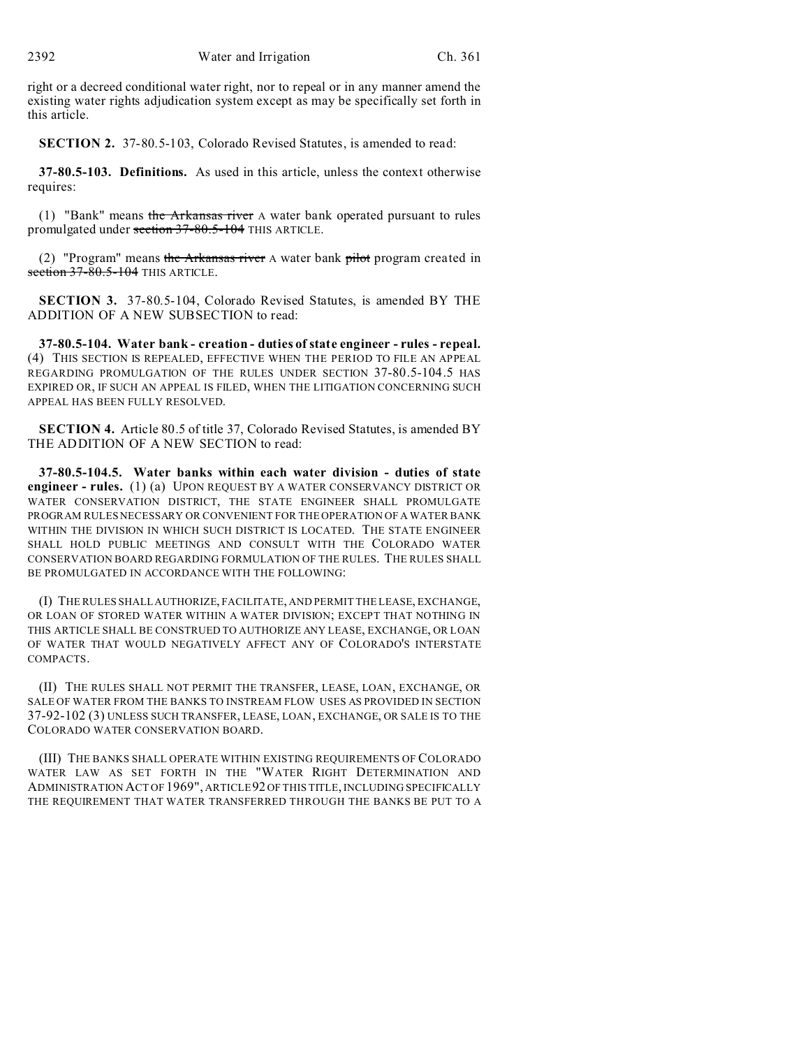right or a decreed conditional water right, nor to repeal or in any manner amend the existing water rights adjudication system except as may be specifically set forth in this article.

**SECTION 2.** 37-80.5-103, Colorado Revised Statutes, is amended to read:

**37-80.5-103. Definitions.** As used in this article, unless the context otherwise requires:

(1) "Bank" means the Arkansas river A water bank operated pursuant to rules promulgated under section 37-80.5-104 THIS ARTICLE.

(2) "Program" means the Arkansas river A water bank pilot program created in section  $37-80.5-104$  THIS ARTICLE.

**SECTION 3.** 37-80.5-104, Colorado Revised Statutes, is amended BY THE ADDITION OF A NEW SUBSECTION to read:

**37-80.5-104. Water bank - creation - duties of state engineer - rules - repeal.** (4) THIS SECTION IS REPEALED, EFFECTIVE WHEN THE PERIOD TO FILE AN APPEAL REGARDING PROMULGATION OF THE RULES UNDER SECTION 37-80.5-104.5 HAS EXPIRED OR, IF SUCH AN APPEAL IS FILED, WHEN THE LITIGATION CONCERNING SUCH APPEAL HAS BEEN FULLY RESOLVED.

**SECTION 4.** Article 80.5 of title 37, Colorado Revised Statutes, is amended BY THE ADDITION OF A NEW SECTION to read:

**37-80.5-104.5. Water banks within each water division - duties of state engineer - rules.** (1) (a) UPON REQUEST BY A WATER CONSERVANCY DISTRICT OR WATER CONSERVATION DISTRICT, THE STATE ENGINEER SHALL PROMULGATE PROGRAM RULES NECESSARY OR CONVENIENT FOR THE OPERATION OF A WATER BANK WITHIN THE DIVISION IN WHICH SUCH DISTRICT IS LOCATED. THE STATE ENGINEER SHALL HOLD PUBLIC MEETINGS AND CONSULT WITH THE COLORADO WATER CONSERVATION BOARD REGARDING FORMULATION OF THE RULES. THE RULES SHALL BE PROMULGATED IN ACCORDANCE WITH THE FOLLOWING:

(I) THE RULES SHALL AUTHORIZE, FACILITATE, AND PERMIT THE LEASE, EXCHANGE, OR LOAN OF STORED WATER WITHIN A WATER DIVISION; EXCEPT THAT NOTHING IN THIS ARTICLE SHALL BE CONSTRUED TO AUTHORIZE ANY LEASE, EXCHANGE, OR LOAN OF WATER THAT WOULD NEGATIVELY AFFECT ANY OF COLORADO'S INTERSTATE COMPACTS.

(II) THE RULES SHALL NOT PERMIT THE TRANSFER, LEASE, LOAN, EXCHANGE, OR SALE OF WATER FROM THE BANKS TO INSTREAM FLOW USES AS PROVIDED IN SECTION 37-92-102 (3) UNLESS SUCH TRANSFER, LEASE, LOAN, EXCHANGE, OR SALE IS TO THE COLORADO WATER CONSERVATION BOARD.

(III) THE BANKS SHALL OPERATE WITHIN EXISTING REQUIREMENTS OF COLORADO WATER LAW AS SET FORTH IN THE "WATER RIGHT DETERMINATION AND ADMINISTRATION ACT OF 1969", ARTICLE 92 OF THIS TITLE, INCLUDING SPECIFICALLY THE REQUIREMENT THAT WATER TRANSFERRED THROUGH THE BANKS BE PUT TO A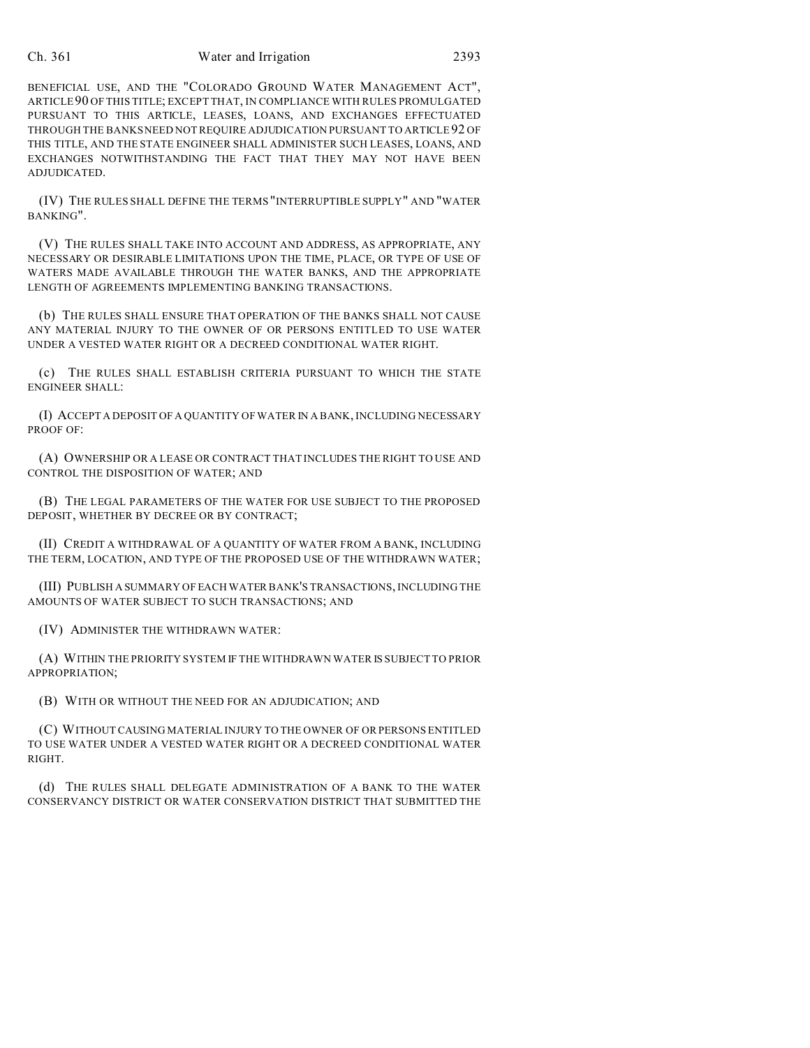## Ch. 361 Water and Irrigation 2393

BENEFICIAL USE, AND THE "COLORADO GROUND WATER MANAGEMENT ACT", ARTICLE90 OF THIS TITLE; EXCEPT THAT, IN COMPLIANCE WITH RULES PROMULGATED PURSUANT TO THIS ARTICLE, LEASES, LOANS, AND EXCHANGES EFFECTUATED THROUGH THE BANKS NEED NOT REQUIRE ADJUDICATION PURSUANT TO ARTICLE 92 OF THIS TITLE, AND THE STATE ENGINEER SHALL ADMINISTER SUCH LEASES, LOANS, AND EXCHANGES NOTWITHSTANDING THE FACT THAT THEY MAY NOT HAVE BEEN ADJUDICATED.

(IV) THE RULES SHALL DEFINE THE TERMS "INTERRUPTIBLE SUPPLY" AND "WATER BANKING".

(V) THE RULES SHALL TAKE INTO ACCOUNT AND ADDRESS, AS APPROPRIATE, ANY NECESSARY OR DESIRABLE LIMITATIONS UPON THE TIME, PLACE, OR TYPE OF USE OF WATERS MADE AVAILABLE THROUGH THE WATER BANKS, AND THE APPROPRIATE LENGTH OF AGREEMENTS IMPLEMENTING BANKING TRANSACTIONS.

(b) THE RULES SHALL ENSURE THAT OPERATION OF THE BANKS SHALL NOT CAUSE ANY MATERIAL INJURY TO THE OWNER OF OR PERSONS ENTITLED TO USE WATER UNDER A VESTED WATER RIGHT OR A DECREED CONDITIONAL WATER RIGHT.

(c) THE RULES SHALL ESTABLISH CRITERIA PURSUANT TO WHICH THE STATE ENGINEER SHALL:

(I) ACCEPT A DEPOSIT OF A QUANTITY OF WATER IN A BANK, INCLUDING NECESSARY PROOF OF:

(A) OWNERSHIP OR A LEASE OR CONTRACT THAT INCLUDES THE RIGHT TO USE AND CONTROL THE DISPOSITION OF WATER; AND

(B) THE LEGAL PARAMETERS OF THE WATER FOR USE SUBJECT TO THE PROPOSED DEPOSIT, WHETHER BY DECREE OR BY CONTRACT;

(II) CREDIT A WITHDRAWAL OF A QUANTITY OF WATER FROM A BANK, INCLUDING THE TERM, LOCATION, AND TYPE OF THE PROPOSED USE OF THE WITHDRAWN WATER;

(III) PUBLISH A SUMMARY OF EACH WATER BANK'S TRANSACTIONS, INCLUDING THE AMOUNTS OF WATER SUBJECT TO SUCH TRANSACTIONS; AND

(IV) ADMINISTER THE WITHDRAWN WATER:

(A) WITHIN THE PRIORITY SYSTEM IF THE WITHDRAWN WATER IS SUBJECT TO PRIOR APPROPRIATION;

(B) WITH OR WITHOUT THE NEED FOR AN ADJUDICATION; AND

(C) WITHOUT CAUSING MATERIAL INJURY TO THE OWNER OF OR PERSONS ENTITLED TO USE WATER UNDER A VESTED WATER RIGHT OR A DECREED CONDITIONAL WATER RIGHT.

(d) THE RULES SHALL DELEGATE ADMINISTRATION OF A BANK TO THE WATER CONSERVANCY DISTRICT OR WATER CONSERVATION DISTRICT THAT SUBMITTED THE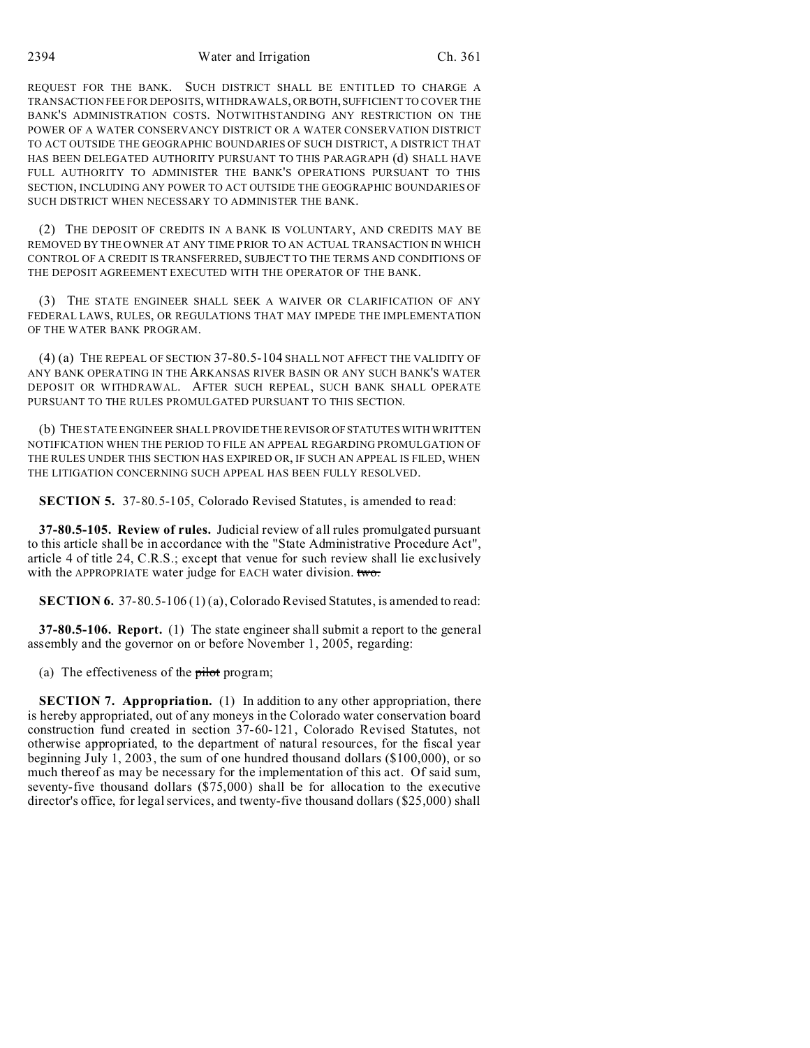2394 Water and Irrigation Ch. 361

REQUEST FOR THE BANK. SUCH DISTRICT SHALL BE ENTITLED TO CHARGE A TRANSACTION FEE FOR DEPOSITS, WITHDRAWALS, ORBOTH, SUFFICIENT TO COVER THE BANK'S ADMINISTRATION COSTS. NOTWITHSTANDING ANY RESTRICTION ON THE POWER OF A WATER CONSERVANCY DISTRICT OR A WATER CONSERVATION DISTRICT TO ACT OUTSIDE THE GEOGRAPHIC BOUNDARIES OF SUCH DISTRICT, A DISTRICT THAT HAS BEEN DELEGATED AUTHORITY PURSUANT TO THIS PARAGRAPH (d) SHALL HAVE FULL AUTHORITY TO ADMINISTER THE BANK'S OPERATIONS PURSUANT TO THIS SECTION, INCLUDING ANY POWER TO ACT OUTSIDE THE GEOGRAPHIC BOUNDARIES OF SUCH DISTRICT WHEN NECESSARY TO ADMINISTER THE BANK.

(2) THE DEPOSIT OF CREDITS IN A BANK IS VOLUNTARY, AND CREDITS MAY BE REMOVED BY THE OWNER AT ANY TIME PRIOR TO AN ACTUAL TRANSACTION IN WHICH CONTROL OF A CREDIT IS TRANSFERRED, SUBJECT TO THE TERMS AND CONDITIONS OF THE DEPOSIT AGREEMENT EXECUTED WITH THE OPERATOR OF THE BANK.

(3) THE STATE ENGINEER SHALL SEEK A WAIVER OR CLARIFICATION OF ANY FEDERAL LAWS, RULES, OR REGULATIONS THAT MAY IMPEDE THE IMPLEMENTATION OF THE WATER BANK PROGRAM.

(4) (a) THE REPEAL OF SECTION 37-80.5-104 SHALL NOT AFFECT THE VALIDITY OF ANY BANK OPERATING IN THE ARKANSAS RIVER BASIN OR ANY SUCH BANK'S WATER DEPOSIT OR WITHDRAWAL. AFTER SUCH REPEAL, SUCH BANK SHALL OPERATE PURSUANT TO THE RULES PROMULGATED PURSUANT TO THIS SECTION.

(b) THE STATE ENGINEER SHALL PROVIDE THE REVISOR OFSTATUTES WITH WRITTEN NOTIFICATION WHEN THE PERIOD TO FILE AN APPEAL REGARDING PROMULGATION OF THE RULES UNDER THIS SECTION HAS EXPIRED OR, IF SUCH AN APPEAL IS FILED, WHEN THE LITIGATION CONCERNING SUCH APPEAL HAS BEEN FULLY RESOLVED.

**SECTION 5.** 37-80.5-105, Colorado Revised Statutes, is amended to read:

**37-80.5-105. Review of rules.** Judicial review of all rules promulgated pursuant to this article shall be in accordance with the "State Administrative Procedure Act", article 4 of title 24, C.R.S.; except that venue for such review shall lie exclusively with the APPROPRIATE water judge for EACH water division. two.

**SECTION 6.** 37-80.5-106 (1) (a), Colorado Revised Statutes, is amended to read:

**37-80.5-106. Report.** (1) The state engineer shall submit a report to the general assembly and the governor on or before November 1, 2005, regarding:

(a) The effectiveness of the  $pi$ -bilot program;

**SECTION 7. Appropriation.** (1) In addition to any other appropriation, there is hereby appropriated, out of any moneys in the Colorado water conservation board construction fund created in section 37-60-121, Colorado Revised Statutes, not otherwise appropriated, to the department of natural resources, for the fiscal year beginning July 1, 2003, the sum of one hundred thousand dollars (\$100,000), or so much thereof as may be necessary for the implementation of this act. Of said sum, seventy-five thousand dollars (\$75,000) shall be for allocation to the executive director's office, for legal services, and twenty-five thousand dollars (\$25,000) shall